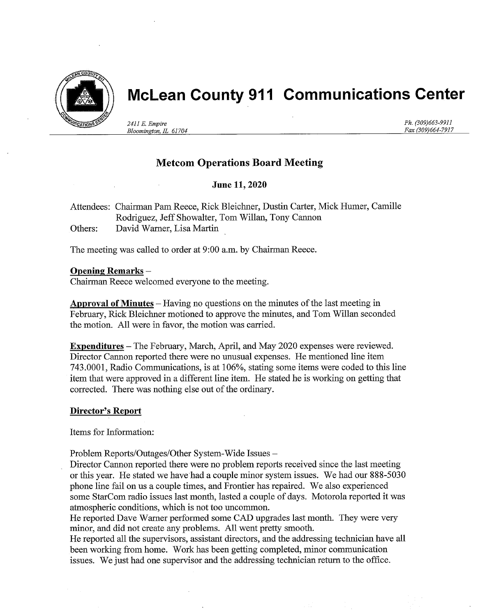

# McLean County 911 Communications Center

2411 E. Empire Bloomington, IL 61704 Ph. (309)663-9911 Fax (309)664-7917

# Metcom Operations Board Meeting

## June 11, 2020

Attendees: Chairman Pam Reece, Rick Bleichner, Dustin Carter, Mick Humer, Camille Rodriguez, Jeff Showalter, Tom Willan, Tony Cannon Others: David Warner, Lisa Martin

The meeting was called to order at 9:00 a.m. by Chairman Reece.

#### Opening Remarks -

Chairman Reece welcomed everyone to the meeting.

Approval of Minutes  $-$  Having no questions on the minutes of the last meeting in February, Rick Bleichner motioned to approve the minutes, and Tom Willan seconded the motion. All were in favor, the motion was carried.

Expenditures - The February, March, April, and May 2020 expenses were reviewed. Director Cannon reported there were no unusual expenses. He mentioned line item 743.0001, Radio Communications, is at 106%, stating some items were coded to this line item that were approved in a different line item. He stated he is working on getting that corrected. There was nothing else out of the ordinary.

#### Director's Report

Items for Information:

Problem Reports/Outages/Other System-Wide Issues -

Director Cannon reported there were no problem reports received since the last meeting or this year. He stated we have had a couple minor system issues. We had our 888-5030 phone line fall on us a couple times, and Frontier has repaired. We also experienced some StarCom radio issues last month, lasted a couple of days. Motorola reported it was atmospheric conditions, which is not too uncommon.

He reported Dave Warner performed some CAD upgrades last month. They were very minor, and did not create any problems. All went pretty smooth.

He reported all the supervisors, assistant directors, and the addressing technician have all been working from home. Work has been getting completed, minor communication issues. We just had one supervisor and the addressing technician retum to the office.